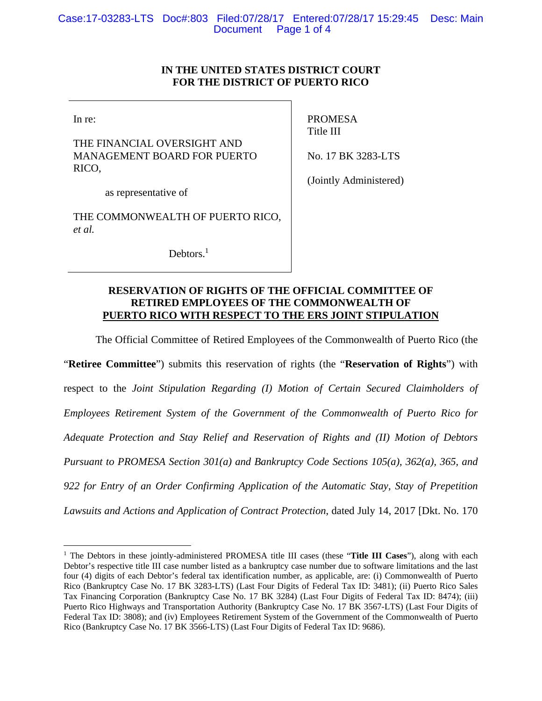# **IN THE UNITED STATES DISTRICT COURT FOR THE DISTRICT OF PUERTO RICO**

In re:

 $\overline{a}$ 

THE FINANCIAL OVERSIGHT AND MANAGEMENT BOARD FOR PUERTO RICO,

PROMESA Title III

No. 17 BK 3283-LTS

(Jointly Administered)

as representative of

THE COMMONWEALTH OF PUERTO RICO, *et al.*

Debtors.<sup>1</sup>

# **RESERVATION OF RIGHTS OF THE OFFICIAL COMMITTEE OF RETIRED EMPLOYEES OF THE COMMONWEALTH OF PUERTO RICO WITH RESPECT TO THE ERS JOINT STIPULATION**

The Official Committee of Retired Employees of the Commonwealth of Puerto Rico (the

"**Retiree Committee**") submits this reservation of rights (the "**Reservation of Rights**") with respect to the *Joint Stipulation Regarding (I) Motion of Certain Secured Claimholders of Employees Retirement System of the Government of the Commonwealth of Puerto Rico for Adequate Protection and Stay Relief and Reservation of Rights and (II) Motion of Debtors Pursuant to PROMESA Section 301(a) and Bankruptcy Code Sections 105(a), 362(a), 365, and 922 for Entry of an Order Confirming Application of the Automatic Stay, Stay of Prepetition Lawsuits and Actions and Application of Contract Protection*, dated July 14, 2017 [Dkt. No. 170

<sup>&</sup>lt;sup>1</sup> The Debtors in these jointly-administered PROMESA title III cases (these "Title III Cases"), along with each Debtor's respective title III case number listed as a bankruptcy case number due to software limitations and the last four (4) digits of each Debtor's federal tax identification number, as applicable, are: (i) Commonwealth of Puerto Rico (Bankruptcy Case No. 17 BK 3283-LTS) (Last Four Digits of Federal Tax ID: 3481); (ii) Puerto Rico Sales Tax Financing Corporation (Bankruptcy Case No. 17 BK 3284) (Last Four Digits of Federal Tax ID: 8474); (iii) Puerto Rico Highways and Transportation Authority (Bankruptcy Case No. 17 BK 3567-LTS) (Last Four Digits of Federal Tax ID: 3808); and (iv) Employees Retirement System of the Government of the Commonwealth of Puerto Rico (Bankruptcy Case No. 17 BK 3566-LTS) (Last Four Digits of Federal Tax ID: 9686).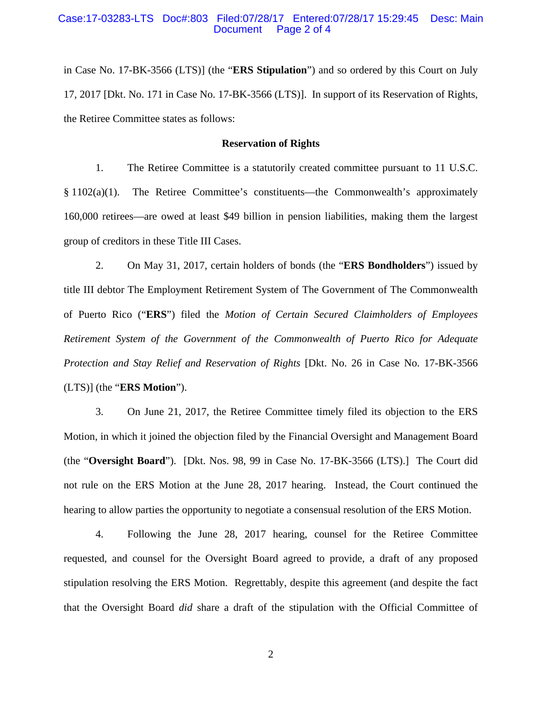### Case:17-03283-LTS Doc#:803 Filed:07/28/17 Entered:07/28/17 15:29:45 Desc: Main Page 2 of 4

in Case No. 17-BK-3566 (LTS)] (the "**ERS Stipulation**") and so ordered by this Court on July 17, 2017 [Dkt. No. 171 in Case No. 17-BK-3566 (LTS)]. In support of its Reservation of Rights, the Retiree Committee states as follows:

## **Reservation of Rights**

1. The Retiree Committee is a statutorily created committee pursuant to 11 U.S.C.  $§ 1102(a)(1)$ . The Retiree Committee's constituents—the Commonwealth's approximately 160,000 retirees—are owed at least \$49 billion in pension liabilities, making them the largest group of creditors in these Title III Cases.

2. On May 31, 2017, certain holders of bonds (the "**ERS Bondholders**") issued by title III debtor The Employment Retirement System of The Government of The Commonwealth of Puerto Rico ("**ERS**") filed the *Motion of Certain Secured Claimholders of Employees Retirement System of the Government of the Commonwealth of Puerto Rico for Adequate Protection and Stay Relief and Reservation of Rights* [Dkt. No. 26 in Case No. 17-BK-3566 (LTS)] (the "**ERS Motion**").

3. On June 21, 2017, the Retiree Committee timely filed its objection to the ERS Motion, in which it joined the objection filed by the Financial Oversight and Management Board (the "**Oversight Board**"). [Dkt. Nos. 98, 99 in Case No. 17-BK-3566 (LTS).] The Court did not rule on the ERS Motion at the June 28, 2017 hearing. Instead, the Court continued the hearing to allow parties the opportunity to negotiate a consensual resolution of the ERS Motion.

4. Following the June 28, 2017 hearing, counsel for the Retiree Committee requested, and counsel for the Oversight Board agreed to provide, a draft of any proposed stipulation resolving the ERS Motion. Regrettably, despite this agreement (and despite the fact that the Oversight Board *did* share a draft of the stipulation with the Official Committee of

2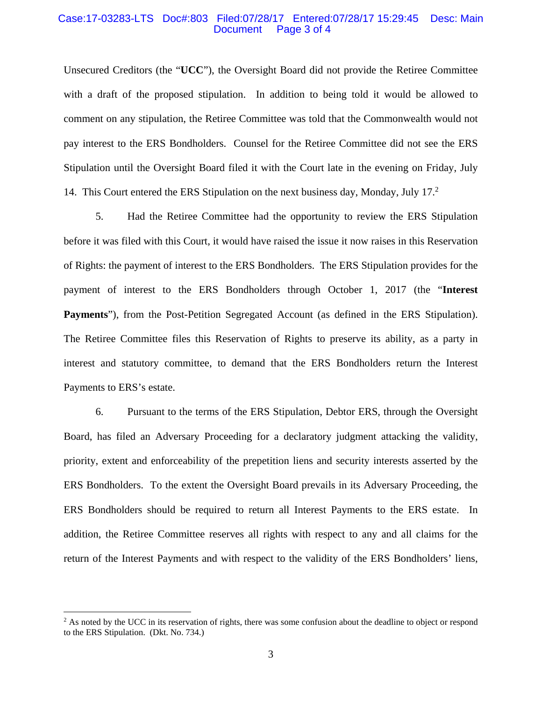### Case:17-03283-LTS Doc#:803 Filed:07/28/17 Entered:07/28/17 15:29:45 Desc: Main Page 3 of 4

Unsecured Creditors (the "**UCC**"), the Oversight Board did not provide the Retiree Committee with a draft of the proposed stipulation. In addition to being told it would be allowed to comment on any stipulation, the Retiree Committee was told that the Commonwealth would not pay interest to the ERS Bondholders. Counsel for the Retiree Committee did not see the ERS Stipulation until the Oversight Board filed it with the Court late in the evening on Friday, July 14. This Court entered the ERS Stipulation on the next business day, Monday, July 17.<sup>2</sup>

5. Had the Retiree Committee had the opportunity to review the ERS Stipulation before it was filed with this Court, it would have raised the issue it now raises in this Reservation of Rights: the payment of interest to the ERS Bondholders. The ERS Stipulation provides for the payment of interest to the ERS Bondholders through October 1, 2017 (the "**Interest Payments**"), from the Post-Petition Segregated Account (as defined in the ERS Stipulation). The Retiree Committee files this Reservation of Rights to preserve its ability, as a party in interest and statutory committee, to demand that the ERS Bondholders return the Interest Payments to ERS's estate.

6. Pursuant to the terms of the ERS Stipulation, Debtor ERS, through the Oversight Board, has filed an Adversary Proceeding for a declaratory judgment attacking the validity, priority, extent and enforceability of the prepetition liens and security interests asserted by the ERS Bondholders. To the extent the Oversight Board prevails in its Adversary Proceeding, the ERS Bondholders should be required to return all Interest Payments to the ERS estate. In addition, the Retiree Committee reserves all rights with respect to any and all claims for the return of the Interest Payments and with respect to the validity of the ERS Bondholders' liens,

1

<sup>&</sup>lt;sup>2</sup> As noted by the UCC in its reservation of rights, there was some confusion about the deadline to object or respond to the ERS Stipulation. (Dkt. No. 734.)